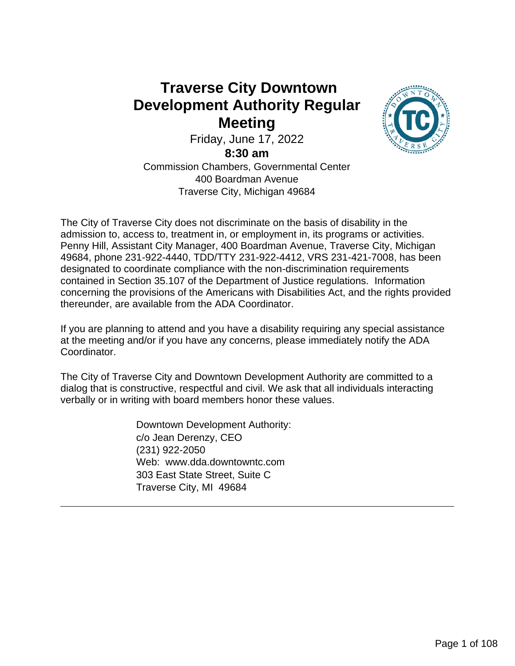## **Traverse City Downtown Development Authority Regular Meeting**



Friday, June 17, 2022

**8:30 am**

Commission Chambers, Governmental Center 400 Boardman Avenue Traverse City, Michigan 49684

The City of Traverse City does not discriminate on the basis of disability in the admission to, access to, treatment in, or employment in, its programs or activities. Penny Hill, Assistant City Manager, 400 Boardman Avenue, Traverse City, Michigan 49684, phone 231-922-4440, TDD/TTY 231-922-4412, VRS 231-421-7008, has been designated to coordinate compliance with the non-discrimination requirements contained in Section 35.107 of the Department of Justice regulations. Information concerning the provisions of the Americans with Disabilities Act, and the rights provided thereunder, are available from the ADA Coordinator.

If you are planning to attend and you have a disability requiring any special assistance at the meeting and/or if you have any concerns, please immediately notify the ADA Coordinator.

The City of Traverse City and Downtown Development Authority are committed to a dialog that is constructive, respectful and civil. We ask that all individuals interacting verbally or in writing with board members honor these values.

> Downtown Development Authority: c/o Jean Derenzy, CEO (231) 922-2050 Web: www.dda.downtowntc.com 303 East State Street, Suite C Traverse City, MI 49684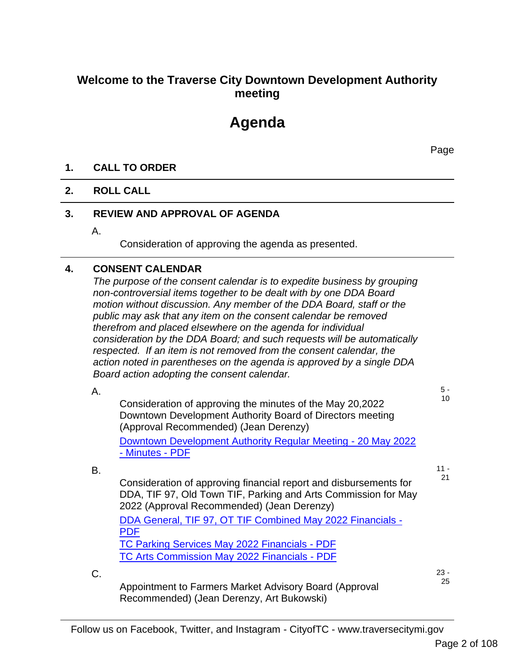## **Welcome to the Traverse City Downtown Development Authority meeting**

# **Agenda**

Page

#### **1. CALL TO ORDER**

#### **2. ROLL CALL**

#### **3. REVIEW AND APPROVAL OF AGENDA**

A.

Consideration of approving the agenda as presented.

#### **4. CONSENT CALENDAR**

*The purpose of the consent calendar is to expedite business by grouping non-controversial items together to be dealt with by one DDA Board motion without discussion. Any member of the DDA Board, staff or the public may ask that any item on the consent calendar be removed therefrom and placed elsewhere on the agenda for individual consideration by the DDA Board; and such requests will be automatically respected. If an item is not removed from the consent calendar, the action noted in parentheses on the agenda is approved by a single DDA Board action adopting the consent calendar.*

|    | Board action adopting the consent calendar.                                                                                                                                       |              |
|----|-----------------------------------------------------------------------------------------------------------------------------------------------------------------------------------|--------------|
| Α. |                                                                                                                                                                                   | $5 -$        |
|    | Consideration of approving the minutes of the May 20,2022<br>Downtown Development Authority Board of Directors meeting<br>(Approval Recommended) (Jean Derenzy)                   | 10           |
|    | Downtown Development Authority Regular Meeting - 20 May 2022<br>- Minutes - PDF                                                                                                   |              |
| В. |                                                                                                                                                                                   | $11 -$       |
|    | Consideration of approving financial report and disbursements for<br>DDA, TIF 97, Old Town TIF, Parking and Arts Commission for May<br>2022 (Approval Recommended) (Jean Derenzy) | 21           |
|    | DDA General, TIF 97, OT TIF Combined May 2022 Financials -<br><b>PDF</b>                                                                                                          |              |
|    | TC Parking Services May 2022 Financials - PDF                                                                                                                                     |              |
|    | <b>TC Arts Commission May 2022 Financials - PDF</b>                                                                                                                               |              |
| C. | Appointment to Farmers Market Advisory Board (Approval                                                                                                                            | $23 -$<br>25 |

Follow us on Facebook, Twitter, and Instagram - CityofTC - www.traversecitymi.gov

Recommended) (Jean Derenzy, Art Bukowski)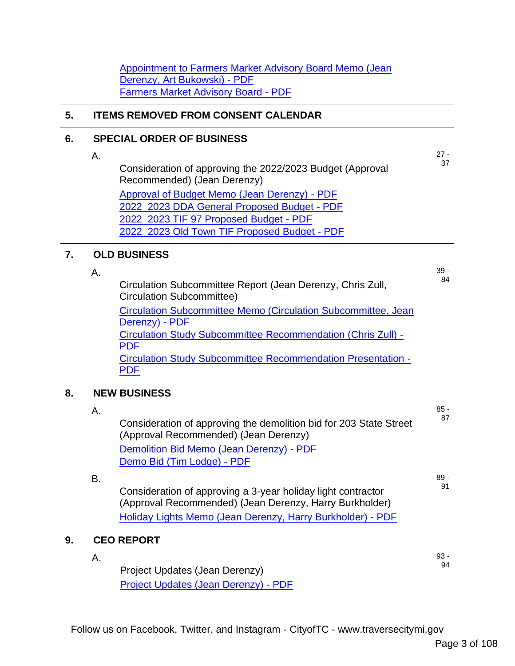Appointment to Farmers Market Advisory Board Memo (Jean Derenzy, Art Bukowski) - PDF Farmers Market Advisory Board - PDF

#### **5. ITEMS REMOVED FROM CONSENT CALENDAR**

#### **6. SPECIAL ORDER OF BUSINESS**

Consideration of approving the 2022/2023 Budget (Approval Recommended) (Jean Derenzy) Approval of Budget Memo (Jean Derenzy) - PDF 2022\_2023 DDA General Proposed Budget - PDF 2022\_2023 TIF 97 Proposed Budget - PDF

2022\_2023 Old Town TIF Proposed Budget - PDF

#### **7. OLD BUSINESS**

A.

A.

Circulation Subcommittee Report (Jean Derenzy, Chris Zull, Circulation Subcommittee)

Circulation Subcommittee Memo (Circulation Subcommittee, Jean Derenzy) - PDF Circulation Study Subcommittee Recommendation (Chris Zull) - PDF Circulation Study Subcommittee Recommendation Presentation - PDF

#### **8. NEW BUSINESS**

|    | Α. |                                                                                                                         | $85 -$ |
|----|----|-------------------------------------------------------------------------------------------------------------------------|--------|
|    |    | Consideration of approving the demolition bid for 203 State Street<br>(Approval Recommended) (Jean Derenzy)             | 87     |
|    |    | Demolition Bid Memo (Jean Derenzy) - PDF                                                                                |        |
|    |    | Demo Bid (Tim Lodge) - PDF                                                                                              |        |
|    | В. |                                                                                                                         | $89 -$ |
|    |    | Consideration of approving a 3-year holiday light contractor<br>(Approval Recommended) (Jean Derenzy, Harry Burkholder) | 91     |
|    |    | Holiday Lights Memo (Jean Derenzy, Harry Burkholder) - PDF                                                              |        |
| 9. |    | <b>CEO REPORT</b>                                                                                                       |        |
|    | Α. |                                                                                                                         | $93 -$ |
|    |    | Project Updates (Jean Derenzy)                                                                                          | 94     |

Project Updates (Jean Derenzy) - PDF

27 - 37

39 - 84